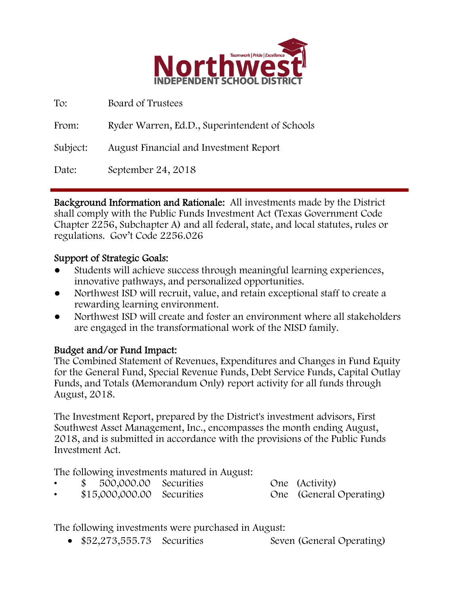

| To:      | Board of Trustees                              |
|----------|------------------------------------------------|
| From:    | Ryder Warren, Ed.D., Superintendent of Schools |
| Subject: | <b>August Financial and Investment Report</b>  |
| Date:    | September 24, 2018                             |

Background Information and Rationale: All investments made by the District shall comply with the Public Funds Investment Act (Texas Government Code Chapter 2256, Subchapter A) and all federal, state, and local statutes, rules or regulations. Gov't Code 2256.026

### Support of Strategic Goals:

- Students will achieve success through meaningful learning experiences, innovative pathways, and personalized opportunities.
- Northwest ISD will recruit, value, and retain exceptional staff to create a rewarding learning environment.
- Northwest ISD will create and foster an environment where all stakeholders are engaged in the transformational work of the NISD family.

# Budget and/or Fund Impact:

The Combined Statement of Revenues, Expenditures and Changes in Fund Equity for the General Fund, Special Revenue Funds, Debt Service Funds, Capital Outlay Funds, and Totals (Memorandum Only) report activity for all funds through August, 2018.

The Investment Report, prepared by the District's investment advisors, First Southwest Asset Management, Inc., encompasses the month ending August, 2018, and is submitted in accordance with the provisions of the Public Funds Investment Act.

The following investments matured in August:

- \$ 500,000.00 Securities One (Activity)
- \$15,000,000.00 Securities One (General Operating)

The following investments were purchased in August:

• \$52,273,555.73 Securities Seven (General Operating)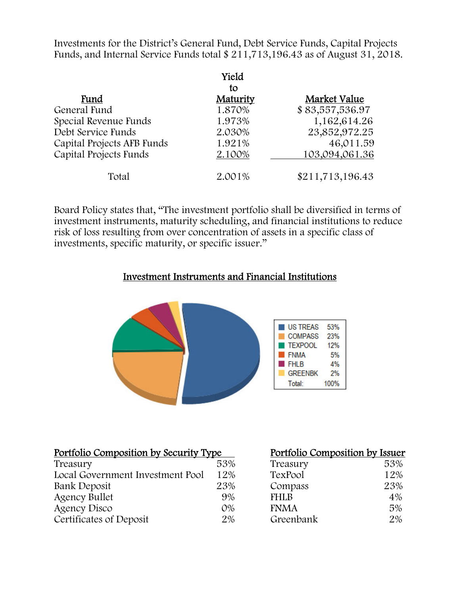Investments for the District's General Fund, Debt Service Funds, Capital Projects Funds, and Internal Service Funds total \$ 211,713,196.43 as of August 31, 2018.

|                            | Yield    |                  |
|----------------------------|----------|------------------|
|                            | tο       |                  |
| Fund                       | Maturity | Market Value     |
| General Fund               | 1.870%   | \$83,557,536.97  |
| Special Revenue Funds      | 1.973%   | 1,162,614.26     |
| Debt Service Funds         | 2.030%   | 23,852,972.25    |
| Capital Projects AFB Funds | 1.921%   | 46,011.59        |
| Capital Projects Funds     | 2.100%   | 103,094,061.36   |
| Total                      | 2.001%   | \$211,713,196.43 |

Board Policy states that, "The investment portfolio shall be diversified in terms of investment instruments, maturity scheduling, and financial institutions to reduce risk of loss resulting from over concentration of assets in a specific class of investments, specific maturity, or specific issuer."

#### Investment Instruments and Financial Institutions



| Portfolio Composition by Security Type |       | Portfolio Composition by Issuer |     |  |
|----------------------------------------|-------|---------------------------------|-----|--|
| Treasury                               | 53%   | Treasury                        | 53% |  |
| Local Government Investment Pool       | 12%   | TexPool                         | 12% |  |
| Bank Deposit                           | 23%   | Compass                         | 23% |  |
| <b>Agency Bullet</b>                   | 9%    | <b>FHLB</b>                     | 4%  |  |
| <b>Agency Disco</b>                    | $O\%$ | <b>FNMA</b>                     | 5%  |  |
| Certificates of Deposit                | 2%    | Greenbank                       | 2%  |  |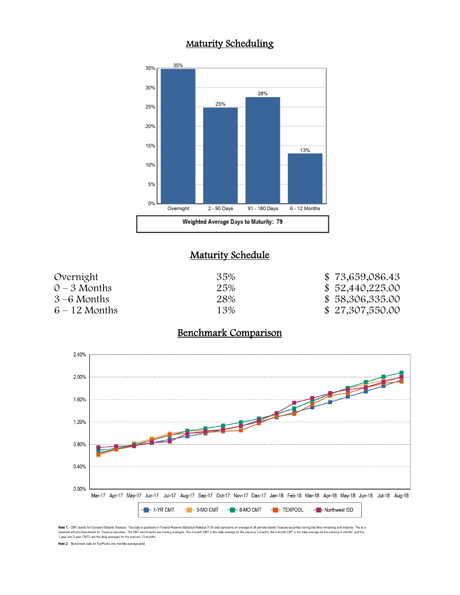### Maturity Scheduling



### **Maturity Schedule**

| Overnight       | 35% | \$73,659,086.43 |
|-----------------|-----|-----------------|
| $0 - 3$ Months  | 25% | \$52,440,225.00 |
| $3 - 6$ Months  | 28% | \$58,306,335.00 |
| $6 - 12$ Months | 13% | \$27,307,550.00 |

### Benchmark Comparison



Note 1: CMT stands for Constant Maturity Treasury. This data is published in Federal Reserve Statistical Release H.15 and represents an average of all actively traded Treasury securities having that time remaining until ma 1-year and 2-year CMT's are the daily averages for the previous 12-months.

Note 2: Benchmark data for TexPool is the monthly average yield.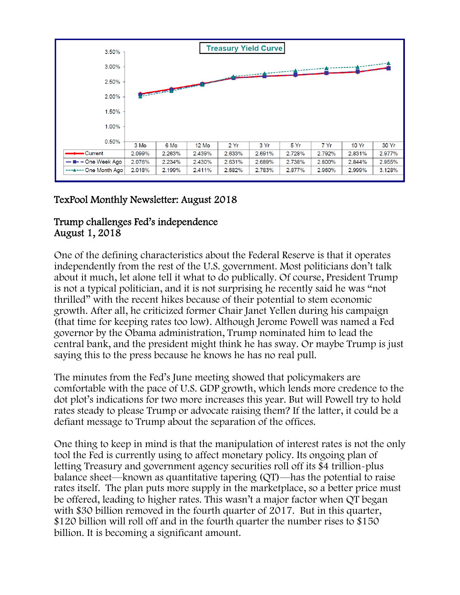

## TexPool Monthly Newsletter: August 2018

#### Trump challenges Fed's independence August 1, 2018

One of the defining characteristics about the Federal Reserve is that it operates independently from the rest of the U.S. government. Most politicians don't talk about it much, let alone tell it what to do publically. Of course, President Trump is not a typical politician, and it is not surprising he recently said he was "not thrilled" with the recent hikes because of their potential to stem economic growth. After all, he criticized former Chair Janet Yellen during his campaign (that time for keeping rates too low). Although Jerome Powell was named a Fed governor by the Obama administration, Trump nominated him to lead the central bank, and the president might think he has sway. Or maybe Trump is just saying this to the press because he knows he has no real pull.

The minutes from the Fed's June meeting showed that policymakers are comfortable with the pace of U.S. GDP growth, which lends more credence to the dot plot's indications for two more increases this year. But will Powell try to hold rates steady to please Trump or advocate raising them? If the latter, it could be a defiant message to Trump about the separation of the offices.

One thing to keep in mind is that the manipulation of interest rates is not the only tool the Fed is currently using to affect monetary policy. Its ongoing plan of letting Treasury and government agency securities roll off its \$4 trillion-plus balance sheet—known as quantitative tapering (QT)—has the potential to raise rates itself. The plan puts more supply in the marketplace, so a better price must be offered, leading to higher rates. This wasn't a major factor when QT began with \$30 billion removed in the fourth quarter of 2017. But in this quarter, \$120 billion will roll off and in the fourth quarter the number rises to \$150 billion. It is becoming a significant amount.